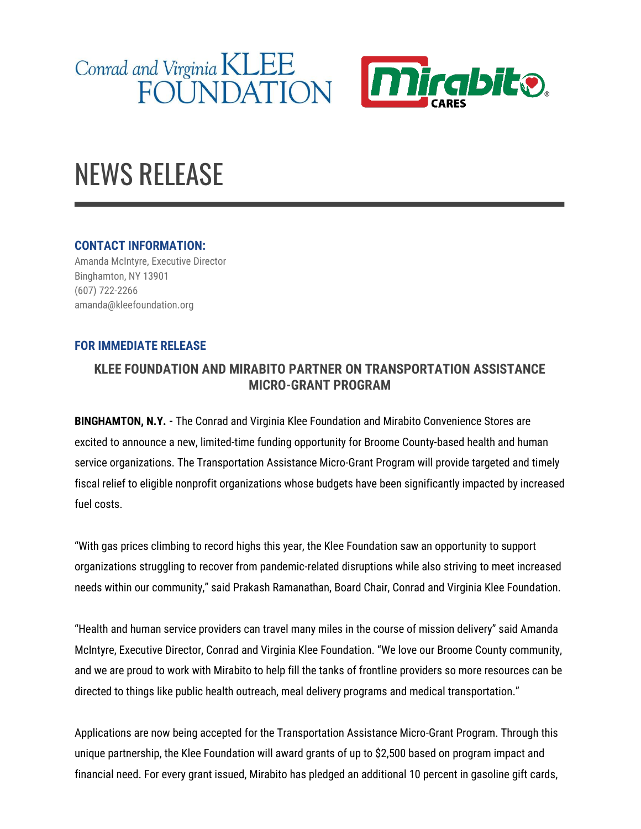



## NEWS RELEASE

## **CONTACT INFORMATION:**

Amanda McIntyre, Executive Director Binghamton, NY 13901 (607) 722-2266 amanda@kleefoundation.org

## **FOR IMMEDIATE RELEASE**

## **KLEE FOUNDATION AND MIRABITO PARTNER ON TRANSPORTATION ASSISTANCE MICRO-GRANT PROGRAM**

**BINGHAMTON, N.Y. -** The Conrad and Virginia Klee Foundation and Mirabito Convenience Stores are excited to announce a new, limited-time funding opportunity for Broome County-based health and human service organizations. The Transportation Assistance Micro-Grant Program will provide targeted and timely fiscal relief to eligible nonprofit organizations whose budgets have been significantly impacted by increased fuel costs.

"With gas prices climbing to record highs this year, the Klee Foundation saw an opportunity to support organizations struggling to recover from pandemic-related disruptions while also striving to meet increased needs within our community," said Prakash Ramanathan, Board Chair, Conrad and Virginia Klee Foundation.

"Health and human service providers can travel many miles in the course of mission delivery" said Amanda McIntyre, Executive Director, Conrad and Virginia Klee Foundation. "We love our Broome County community, and we are proud to work with Mirabito to help fill the tanks of frontline providers so more resources can be directed to things like public health outreach, meal delivery programs and medical transportation."

Applications are now being accepted for the Transportation Assistance Micro-Grant Program. Through this unique partnership, the Klee Foundation will award grants of up to \$2,500 based on program impact and financial need. For every grant issued, Mirabito has pledged an additional 10 percent in gasoline gift cards,